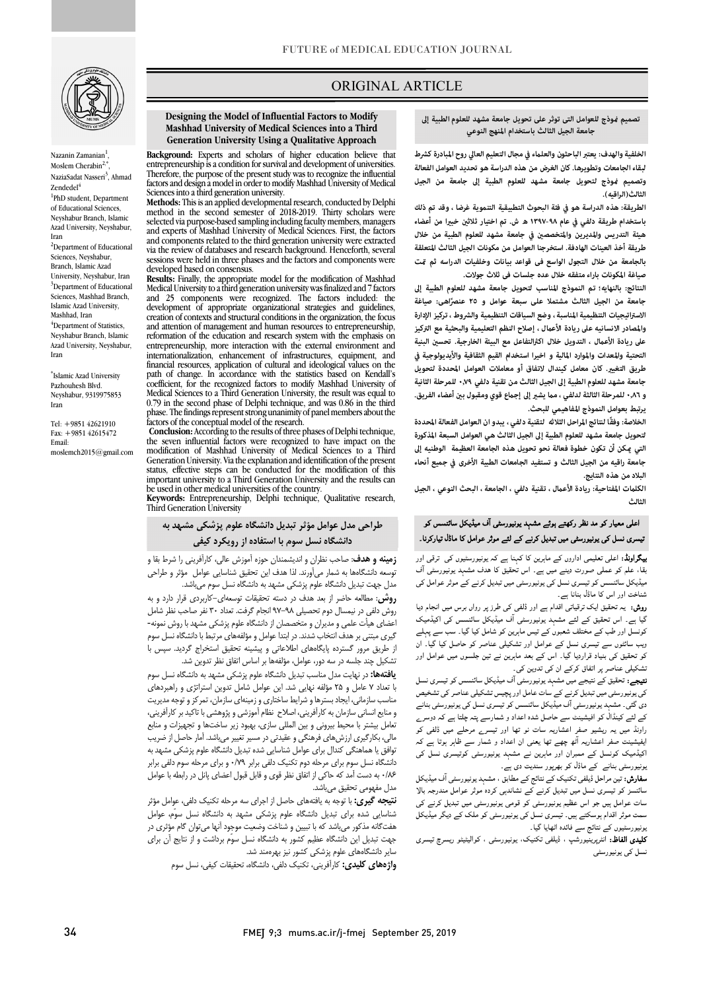

Nazanin Zamanian<sup>1</sup> , Moslem Cherabin $2$ , NaziaSadat Nasseri<sup>3</sup>, Ahmad Zendedel<sup>4</sup> <sup>1</sup>PhD student, Department of Educational Sciences, Neyshabur Branch, Islamic Azad University, Neyshabur, Iran <sup>2</sup>Department of Educational Sciences, Neyshabur, Branch, Islamic Azad University, Neyshabur, Iran

<sup>3</sup>Department of Educational Sciences, Mashhad Branch, Islamic Azad University, Mashhad, Iran <sup>4</sup>Department of Statistics, Neyshabur Branch, Islamic Azad University, Neyshabur, Iran

\* Islamic Azad University Pazhouhesh Blvd. Neyshabur, 9319975853 Iran

Tel: +9851 42621910 Fax: +9851 42615472 Email: moslemch2015@gmail.com

## ORIGINAL ARTICLE

#### **جامعة الجيل الثالث باستخدام المنهج النوعي تصميم وذج للعوامل التی توثر علی تحويل جامعة مشهد للعلوم الطبية إلى**

ص

 **الخلفية والهدف: يعتبر الباحثون والعلء في مجال التعليم العالي روح المبادرة كشرط وتصميم وذج لتحويل جامعة مشهد للعلوم الطبية إلى جامعة من الجيل لبقاء الجامعات وتطويرها. كان الغرض من هذه الدراسة هو تحديدالعوامل الفعالة الثالث(الراقیه).** 

 **الطريقة: هذه الدراسة هو في فئة البحوث التطبيقية التنموية غرضا ، وقد تم ذلك باستخدام طريقة دلفي في عام ١٣٩٧-٩٨ ه ش. تم اختيار ثلاث خبا من أعضاء طريقة أخذ العينات الهادفة. استخرجنا العوامل من مكونات الجيل الثالث المتعلقة بالجامعة من خلال التجول الواسع فی قواعد بيانات وخلفيات الدراسه ثم ت صياغة المكونات باراء متفقه خلال عده جلسات فی ثلاث جولات. هيئة التدريس والمديرين والمتخصص في جامعة مشهد للعلوم الطبية من خلال** 

 **جامعة من الجيل الثالث مشتملا علی سبعة عوامل و ٢٥ ً عنصراهی: صياغة الاستراتيجيات التنظيمية المناسبة ، وضع السياقات التنظيمية و الشروط ، تركيز الإدارة والمصادر الانسانیه على ريادة الأعل ، إصلاح النظم التعليمية والبحثية مع التركيز**  على ريادة الأعمال ، التدويل خلال اكثرالتفاعل مع البيئة الخارجية. تحسين البنية<br>. **طريق التغي. كان معامل كيندال لاتفاق أو معاملات العوامل المحددة لتحويل جامعة مشهد للعلوم الطبية إلى الجيل الثالث من تقنية دلفي ٠٫٧٩ للمرحلة الثانية**  و ٠,٨٦ للمرحلة الثالثة لدلفي ، مما يشير إلى إجماع قوي ومقبول بين أعضاء الفريق. **يرتبط بعوامل النموذج المفاهيمي للبحث. النتائج: بالنهایه؛ تم النموذج المناسب لتحویل جامعة مشهد للعلوم الطبية إلى التحتية والمعدات والموارد المالية و اخیرا استخدام القيم الثقافية والأيديولوجية في** 

 **لتحويل جامعة مشهد للعلوم الطبية إلى الجيل الثالث هي العوامل السبعة المذكورة التي كن أن تكون خطوة فعالة نحو تحويل هذه الجامعة العظيمة الوطنیه إلى جامعة راقیه من الجیل الثالث و تستفید الجامعات الطبية الأخرى في جميع أنحاء**  Ï **الخلاصة:وفقًا لنتائج المراحل الثلاثه لتقنية دلفي ، یبدو ان العوامل الفعالة المحددة البلاد من هذه النتایج.**

 **الكلت المفتاحية: ريادة الأعل ، تقنية دلفي ، الجامعة ، البحث النوعي ، الجيل الثالث**

# ۔<br>اعلٰی معیار کو مد نظر رکھتے ہوئے مشہد یونیورسٹی آف میڈیکل سائنسس کو ی ر ا ڈل ر۔

یگراونڈ: اعلی تعلیمی اداروں کے ماہرین کا کہنا ہے کہ یونیورسٹیوں کی ترقی اور<br>۔ ، وہ سے سے سے مسیح کرتے ہے ہیں ہے ۔ اس نے اس کے دور میں سے رہے ہیں ۔<br>بقا، علم کو عملی صورت دینے میں ہے۔ اس تُحقیق کا ہدف مشہد یونیورسٹی آف میڈیکل سائنسس کو تیسری نسل کی یونیورسٹی میں تبدیل کرنے کے موثر عوامل کی شناخت اور اس کا ماڈل بنانا ہے۔<br>معمد

گیا ہے۔ اس تحقیق کے لئے مشہد یونیورسٹی آف میڈیکل سائنسس کی اکیڈمیک کونسل اور طب کے مختلف شعبوں کے تیس ماہرین کو شامل کیا گیا۔ سب سے پہلے د ارد ۔ اس ں ا اور نشکیلی عناصر پر اتفاق کرکے ان کی تدوین کی۔ **روش:** یہ تحقیق ایک ترقیاتی اقدام ہے اور ڈلفی کی طرز پر رواں برس میں انجام دیا ویب سائٹوں سے تیسری نسل کے عوامل اور تشکیلی عناصر کو حاصل کیا گیا۔ ان

**تیجے:** تحقیق کے نتیجے میں مشہد یونیورسٹی آف میڈیکل سائنسس کو تیسری نسل<br>مسلمان ۔<br>دی گئی۔ مشہد یونیورسٹی آف میڈیکل سائنسس کو تیسری نسل کی یونیورسٹی بنانے کے لئے کینڈال کو افیشینٹ سے حاصل شدہ اعداد و شمارسے پتہ چلتا ہے کہ دوسرے راوند میں یہ ریسیو حسر احساریہ سات تو ہے اور بیسرے مرحبے میں نعی تو<br>ایفیشینت صفر اعشاریہ آٹھ چھے تھا یعنی ان اعداد و شمار سے ظاہر ہوتا ہے کہ اکیڈمیک کونسل کے ممبران اور ماہرین نے مشہد یونیورسٹی کوتیسری نسل کی بونیورسٹی بنانے کے ماڈل کو بھرپور سندیت دی ہے۔ کی یونیورسٹی میں تبدیل کرنے کے سات عامل اور پچیس تشکیلی عناصر کی تشخیص .<br>راونڈ میں یہ ریشیو صفر اعشاریہ سات نو تھا اور تیسر پ<sup>ا</sup> مرحلے میں ڈلف*ی* کو

وں کا سیاسی کے سال کرنے کے سال کرنے کے سال کر سال ہے۔<br>سائنسز کو تیسری نسل میں تبدیل کرنے کے نشاندہی کردہ موثر عوامل مندرجہ بالا سات عوامل ہیں جو اس عظیم یونیورسٹی کو قومی یونیورسٹی میں تبدیل کرنے کی سمت سوںر احدام ہوسائلے ہیں۔ لیسٹری لسل<br>بونیورسٹیوں کے نتائج سے فائدہ اٹھایا گیا۔ **سفارش:** تین مراحل ڈیلفی تکنیک کے نتائج کے مطابق ، مشہد یونیورسٹی آف میڈیکل سمت موثر اقدام ہوسکتے ہیں۔ تیسری نسل کی یونیورسٹی کو ملک کے دیگر میڈیکل

**کلیدی الفاظ:** انٹرپرینیورشپ ، ڈیلفی تکنیک، یونیورسٹی ، کوالیٹیٹو ریسرچ تیسری سا, کی یونیورسٹی

## **Designing the Model of Influential Factors to Modify Mashhad University of Medical Sciences into a Third Generation University Using a Qualitative Approach**

Ī

**EXALCORDING:** Experist and scholars of higher education believe that entrepreneurship is a condition for survival and development of universities. Therefore, the purpose of the present study was to recognize the influential **Methods:** This is an applied developmental research, conducted by Delphi **Background:** Experts and scholars of higher education believe that factors and design a model in order to modify Mashhad University of Medical Sciences into a third generation university.

method in the second semester of 2018-2019. Thirty scholars were and experts of Mashhad University of Medical Sciences. First, the factors and components related to the third generation university were extracted sessions were held in three phases and the factors and components were selected via purpose-based sampling including faculty members, managers via the review of databases and research background. Henceforth, several developed based on consensus.

 **Results:** Finally, the appropriate model for the modification of Mashhad and 25 components were recognized. The factors included: the development of appropriate organizational strategies and guidelines,<br>creation of contexts and structural conditions in the organization, the focus and attention of management and human resources to entrepreneurship, entrepreneurship, more interaction with the external environment and financial resources, application of cultural and ideological values on the pair or change. In accordance with the statistics based on Kendali's<br>coefficient, for the recognized factors to modify Mashhad University of Medical Sciences to a Third Generation University, the result was equal to  $2.70$  in the result was equal to phase. The findings represent strong unanimity of panel members about the Medical University to a third generation university was finalized and 7 factors development of appropriate organizational strategies and guidelines, reformation of the education and research system with the emphasis on internationalization, enhancement of infrastructures, equipment, and path of change. In accordance with the statistics based on Kendall's 0.79 in the second phase of Delphi technique, and was 0.86 in the third factors of the conceptual model of the research.

 **Conclusion:** According to the results of three phases of Delphi technique, modification of Mashhad University of Medical Sciences to a Third Generation University. Via the explanation and identification of the present<br>status, effective steps can be conducted for the modification of this important university to a Third Generation University and the results can the seven influential factors were recognized to have impact on the status, effective steps can be conducted for the modification of this be used in other medical universities of the country.

 **Keywords:** Entrepreneurship, Delphi technique, Qualitative research, **طراحی مدل عوامل مؤثر تبدیل دانشگاه علوم پزشکی مشهد به**  Third Generation University

#### I **دانشگاه نسل سوم با استفاده از رویکرد کیفی**

 **زمینه و هدف**: صاحب نظران و اندیشمندان حوزه آموزش عالی، کارآفرینی را شرط بقا و رسید و متحت حد جه صرای و اسیسستان حورد امورس حتی حزا برابیمی را سرت به و<br>نوسعه دانشگاهها به شمار میآورند. لذا هدف این تحقیق شناسایی عوامل ًمؤثر و طراحی مدل جهت تبدیل دانشگاه علوم پزشکی مشهد به دانشگاه نسل سوم میباشد.

 **روش**: مطالعه حاضر از بعد هدف در دسته تحقیقات توسعهاي-کاربردي قرار دارد و به روس تمی در بینسان عوم تحصیلی ۲۰۱۰، ۱۰ موجع ترتیب مدد ۲۰۰ متر تصاحب تقر شاش<br>عضای هیأت علمی و مدیران و متخصصان از دانشگاه علوم پزشکی مشهد با روش نمونه- گیري مبتنی بر هدف انتخاب شدند. در ابتدا عوامل و مؤلفههاي مرتبط با دانشگاه نسل سوم از طریق مرور گسترده پایگاههاي اطلاعاتی و پیشینه تحقیق استخراج گردید. سپس با روش دلفی در نیمسال دوم تحصیلی 97-98 انجام گرفت. تعداد 30 نفر صاحب نظر شامل تشکیل چند جلسه در سه دور، عوامل، مؤلفهها بر اساس اتفاق نظر تدوین شد.

مستین پسه بسته در سه عورد عوسن موسعه بر است*س اند*ی عبر کلوی*ن سته*<br>**یافتهها:** در نهایت مدل مناسب تبدیل دانشگاه علوم پزشکی مشهد به دانشگاه نسل سوم با تعداد 7 عامل و 25 مؤلفه نهایی شد. این عوامل شامل تدوین استراتژي و راهبردهاي مناسب سازمانی، ایجاد بسترها و شرایط ساختاري و زمینهاي سازمان، تمرکزو توجه مدیریت و سبی مسی سرمان به حرابریین استان استان محیط بهبرسی و پروسسی به دیبه بر حرابریهی.<br>نعامل بیشتر با محیط بیرونی و بین المللی سازی، بهبود زیر ساختها و تجهیزات و منابع مالی، بکارگیري ارزشهاي فرهنگی و عقیدتی در مسیر تغییر میباشد. آمار حاصل از ضریب توافق یا هماهنگی کندال براي عوامل شناسایی شده تبدیل دانشگاه علوم پزشکی مشهد به 0/86 به دست آمد که حاکی از اتفاق نظر قوي و قابل قبول اعضاي پانل در رابطه با عوامل مدل مفهومی تحقیق میباشد. و منایع انسانی سازمان به کارآفرینی، اصلاح نظام آموزشی و پژوهشی با تاکید بر کارآفرینی، دانشگاه نسل سوم براي مرحله دوم تکنیک دلفی برابر 0/79 و براي مرحله سوم دلفی برابر

 **نتیجه گیري:** با توجه به یافتههاي حاصل از اجراي سه مرحله تکنیک دلفی، عوامل مؤثر هفتگانه مذکور میباشد که با تبیین مستعدد کرد.<br>هفتگانه مذکور میباشد که با تبیین و شناخت وضعیت موجود آنها میتوان گام مؤثری در جهت تبدیل این دانشگاه عظیم کشور به دانشگاه نسل سوّم برداشت و از نتایج آن براي سایر دانشگاههاي علوم پزشکی کشور نیز بهرهمند شد. شناسایی شده براي تبدیل دانشگاه علوم پزشکی مشهد به دانشگاه نسل سوّم، عوامل

**واژههاي کلیدي:** کارآفرینی، تکنیک دلفی، دانشگاه، تحقیقات کیفی، نسل سوم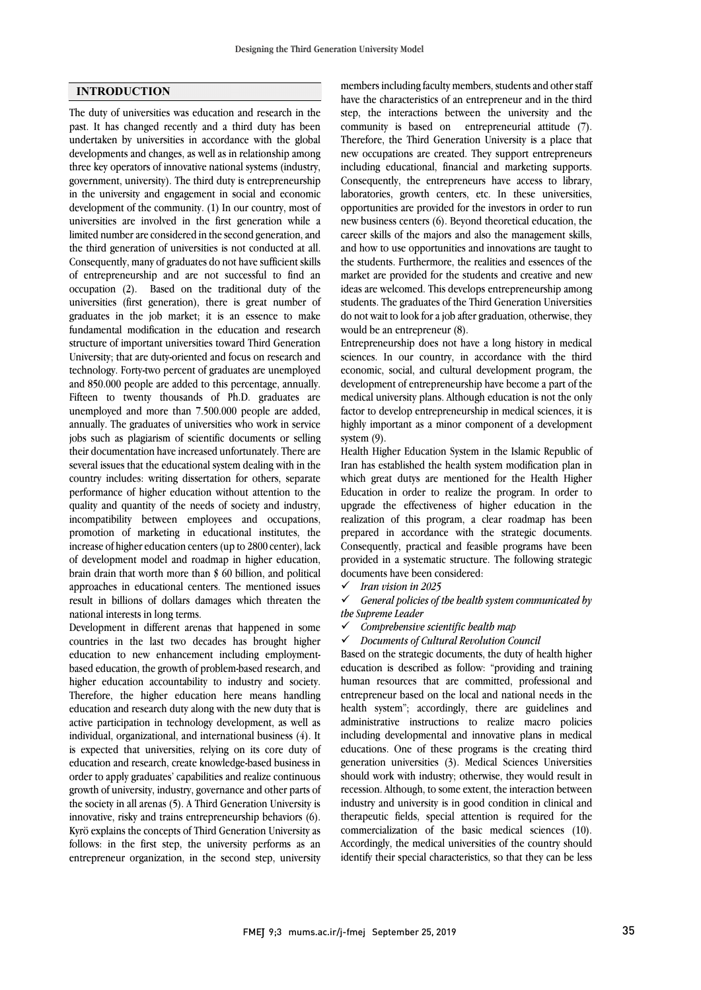#### **INTRODUCTION**

The duty of universities was education and research in the past. It has changed recently and a third duty has been undertaken by universities in accordance with the global developments and changes, as well as in relationship among three key operators of innovative national systems (industry, government, university). The third duty is entrepreneurship in the university and engagement in social and economic development of the community. (1) In our country, most of universities are involved in the first generation while a limited number are considered in the second generation, and the third generation of universities is not conducted at all. Consequently, many of graduates do not have sufficient skills of entrepreneurship and are not successful to find an occupation (2). Based on the traditional duty of the universities (first generation), there is great number of graduates in the job market; it is an essence to make fundamental modification in the education and research structure of important universities toward Third Generation University; that are duty-oriented and focus on research and technology. Forty-two percent of graduates are unemployed and 850.000 people are added to this percentage, annually. Fifteen to twenty thousands of Ph.D. graduates are unemployed and more than 7.500.000 people are added, annually. The graduates of universities who work in service jobs such as plagiarism of scientific documents or selling their documentation have increased unfortunately. There are several issues that the educational system dealing with in the country includes: writing dissertation for others, separate performance of higher education without attention to the quality and quantity of the needs of society and industry, incompatibility between employees and occupations, promotion of marketing in educational institutes, the increase of higher education centers (up to 2800 center), lack of development model and roadmap in higher education, brain drain that worth more than \$ 60 billion, and political approaches in educational centers. The mentioned issues result in billions of dollars damages which threaten the national interests in long terms.

Development in different arenas that happened in some countries in the last two decades has brought higher education to new enhancement including employmentbased education, the growth of problem-based research, and higher education accountability to industry and society. Therefore, the higher education here means handling education and research duty along with the new duty that is active participation in technology development, as well as individual, organizational, and international business (4). It is expected that universities, relying on its core duty of education and research, create knowledge-based business in order to apply graduates' capabilities and realize continuous growth of university, industry, governance and other parts of the society in all arenas (5). A Third Generation University is innovative, risky and trains entrepreneurship behaviors (6). Kyrö explains the concepts of Third Generation University as follows: in the first step, the university performs as an entrepreneur organization, in the second step, university

 have the characteristics of an entrepreneur and in the third step, the interactions between the university and the community is based on entrepreneurial attitude (7). Therefore, the Third Generation University is a place that new occupations are created. They support entrepreneurs Consequently, the entrepreneurs have access to library, laboratories, growth centers, etc. In these universities, opportunities are provided for the investors in order to run career skills of the majors and also the management skills, and how to use opportunities and innovations are taught to the students. Furthermore, the realities and essences of the market are provided for the students and creative and new students. The graduates of the Third Generation Universities do not wait to look for a job after graduation, otherwise, they would be an entrepreneur (8). members including faculty members, students and other staff including educational, financial and marketing supports. new business centers (6). Beyond theoretical education, the ideas are welcomed. This develops entrepreneurship among

 Entrepreneurship does not have a long history in medical economic, social, and cultural development program, the development of entrepreneurship have become a part of the medical university plans. Although education is not the only factor to develop entrepreneurship in medical sciences, it is highly important as a minor component of a development sciences. In our country, in accordance with the third system (9).

 Health Higher Education System in the Islamic Republic of Iran has established the health system modification plan in which great dutys are mentioned for the Health Higher upgrade the effectiveness of higher education in the realization of this program, a clear roadmap has been prepared in accordance with the strategic documents. Consequently, practical and feasible programs have been documents have been considered: Education in order to realize the program. In order to provided in a systematic structure. The following strategic

## *Iran vision in 2025*

 *General policies of the health system communicated by the Supreme Leader*

#### *Comprehensive scientific health map*

*Documents of Cultural Revolution Council* 

 Based on the strategic documents, the duty of health higher education is described as follow: "providing and training human resources that are committed, professional and health system"; accordingly, there are guidelines and administrative instructions to realize macro policies including developmental and innovative plans in medical educations. One of these programs is the creating third should work with industry; otherwise, they would result in recession. Although, to some extent, the interaction between industry and university is in good condition in clinical and therapeutic fields, special attention is required for the Accordingly, the medical universities of the country should identify their special characteristics, so that they can be less entrepreneur based on the local and national needs in the generation universities (3). Medical Sciences Universities commercialization of the basic medical sciences (10).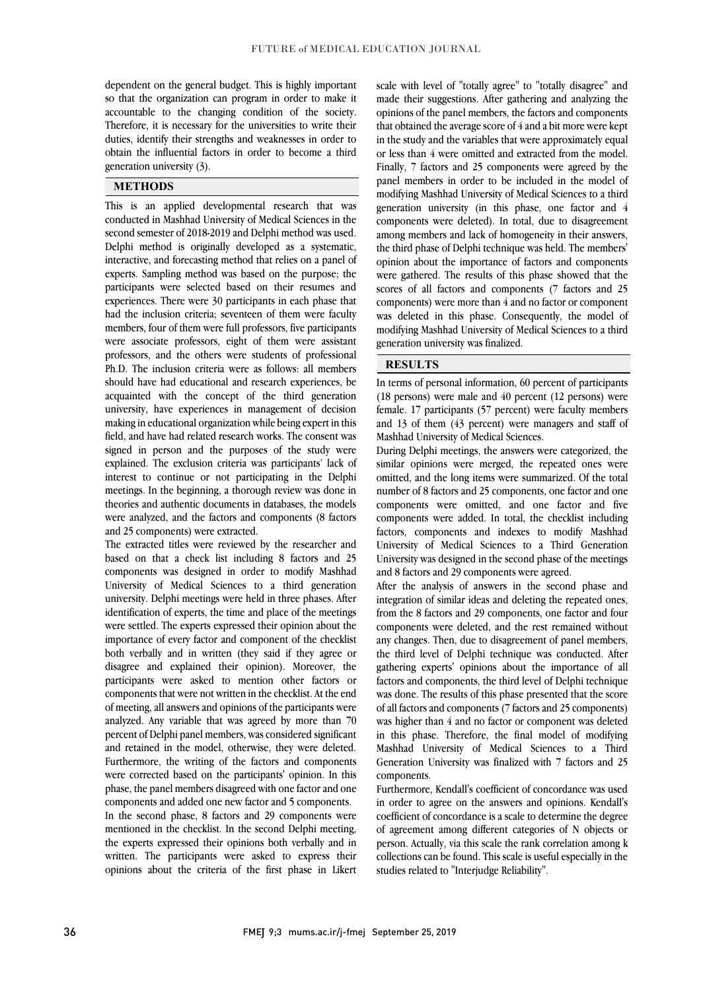$\overline{a}$ 

so that the organization can program in order to make it accountable to the changing condition of the society. Therefore, it is necessary for the universities to write their duties, identify their strengths and weaknesses in order to obtain the influential factors in order to become a third l, dependent on the general budget. This is highly important generation university (3).

## **METHODS**

 This is an applied developmental research that was second semester of 2018-2019 and Delphi method was used. Delphi method is originally developed as a systematic, interactive, and forecasting method that relies on a panel of experts. Sampling method was based on the purpose; the experiences. There were 30 participants in each phase that had the inclusion criteria; seventeen of them were faculty members, four of them were full professors, five participants were associate professors, eight of them were assistant Ph.D. The inclusion criteria were as follows: all members should have had educational and research experiences, be acquainted with the concept of the third generation university, have experiences in management of decision field, and have had related research works. The consent was signed in person and the purposes of the study were explained. The exclusion criteria was participants' lack of interest to continue or not participating in the Delphi theories and authentic documents in databases, the models were analyzed, and the factors and components (8 factors conducted in Mashhad University of Medical Sciences in the participants were selected based on their resumes and professors, and the others were students of professional making in educational organization while being expert in this meetings. In the beginning, a thorough review was done in and 25 components) were extracted.

 The extracted titles were reviewed by the researcher and components was designed in order to modify Mashhad University of Medical Sciences to a third generation university. Delphi meetings were held in three phases. After identification of experts, the time and place of the meetings importance of every factor and component of the checklist both verbally and in written (they said if they agree or disagree and explained their opinion). Moreover, the participants were asked to incrition officer ractors of components that were not written in the checklist. At the end of meeting, all answers and opinions of the participants were analyzed. Any variable that was agreed by more than 70 percent of Delphi panel members, was considered significant and retained in the model, otherwise, they were deleted. were corrected based on the participants' opinion. In this phase, the panel members disagreed with one factor and one components and added one new factor and 5 components. In the second phase, 8 factors and 29 components were the experts expressed their opinions both verbally and in written. The participants were asked to express their opinions about the criteria of the first phase in Likert based on that a check list including 8 factors and 25 were settled. The experts expressed their opinion about the participants were asked to mention other factors or Furthermore, the writing of the factors and components mentioned in the checklist. In the second Delphi meeting,

 made their suggestions. After gathering and analyzing the opinions of the panel members, the factors and components that obtained the average score of 4 and a bit more were kept in the study and the variables that were approximately equal Finally, 7 factors and 25 components were agreed by the panel members in order to be included in the model of modifying Mashhad University of Medical Sciences to a third generation university (in this phase, one factor and 4 among members and lack of homogeneity in their answers, the third phase of Delphi technique was held. The members' opinion about the importance of factors and components were gathered. The results of this phase showed that the components) were more than 4 and no factor or component was deleted in this phase. Consequently, the model of modifying Mashhad University of Medical Sciences to a third scale with level of "totally agree" to "totally disagree" and or less than 4 were omitted and extracted from the model. components were deleted). In total, due to disagreement scores of all factors and components (7 factors and 25 generation university was finalized.

#### **RESULTS**

 In terms of personal information, 60 percent of participants (18 persons) were male and 40 percent (12 persons) were female. 17 participants (57 percent) were faculty members and  $13$  of them  $(43 \text{ percent})$  were managers and staff of Mathel University of Mathel Sciences Mashhad University of Medical Sciences.

 During Delphi meetings, the answers were categorized, the similar opinions were merged, the repeated ones were omitted, and the long items were summarized. Of the total components were omitted, and one factor and five components were added. In total, the checklist including factors, components and indexes to modify Mashhad University of Medical Sciences to a Third Generation University was designed in the second phase of the meetings<br>and 8 fectors and 20 separate was acreed number of 8 factors and 25 components, one factor and one and 8 factors and 29 components were agreed.

 After the analysis of answers in the second phase and integration of similar ideas and deleting the repeated ones, from the 8 factors and 29 components, one factor and four any changes. Then, due to disagreement of panel members, the third level of Delphi technique was conducted. After gathering experts' opinions about the importance of all factors and components, the third level of Delphi technique of all factors and components (7 factors and 25 components) was higher than 4 and no factor or component was deleted in this phase. Therefore, the final model of modifying Mashhad University of Medical Sciences to a Third Generation University was finalized with 7 factors and 25<br>components components were deleted, and the rest remained without was done. The results of this phase presented that the score components.

 Furthermore, Kendall's coefficient of concordance was used in order to agree on the answers and opinions. Kendall's coefficient of concordance is a scale to determine the degree person. Actually, via this scale the rank correlation among k collections can be found. This scale is useful especially in the of agreement among different categories of N objects or studies related to "Interjudge Reliability".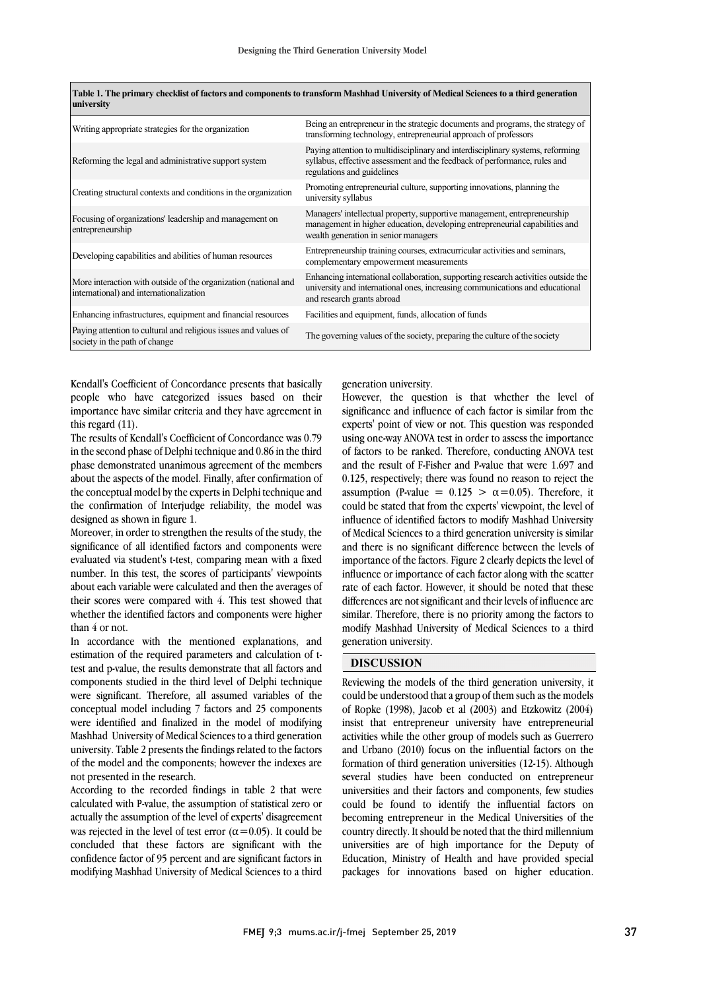| university                                                                                                 |                                                                                                                                                                                                 |
|------------------------------------------------------------------------------------------------------------|-------------------------------------------------------------------------------------------------------------------------------------------------------------------------------------------------|
| Writing appropriate strategies for the organization                                                        | Being an entrepreneur in the strategic documents and programs, the strategy of<br>transforming technology, entrepreneurial approach of professors                                               |
| Reforming the legal and administrative support system                                                      | Paying attention to multidisciplinary and interdisciplinary systems, reforming<br>syllabus, effective assessment and the feedback of performance, rules and<br>regulations and guidelines       |
| Creating structural contexts and conditions in the organization                                            | Promoting entrepreneurial culture, supporting innovations, planning the<br>university syllabus                                                                                                  |
| Focusing of organizations' leadership and management on<br>entrepreneurship                                | Managers' intellectual property, supportive management, entrepreneurship<br>management in higher education, developing entrepreneurial capabilities and<br>wealth generation in senior managers |
| Developing capabilities and abilities of human resources                                                   | Entrepreneurship training courses, extracurricular activities and seminars,<br>complementary empowerment measurements                                                                           |
| More interaction with outside of the organization (national and<br>international) and internationalization | Enhancing international collaboration, supporting research activities outside the<br>university and international ones, increasing communications and educational<br>and research grants abroad |
| Enhancing infrastructures, equipment and financial resources                                               | Facilities and equipment, funds, allocation of funds                                                                                                                                            |
| Paying attention to cultural and religious issues and values of<br>society in the path of change           | The governing values of the society, preparing the culture of the society                                                                                                                       |

**Table 1. The primary checklist of factors and components to transform Mashhad University of Medical Sciences to a third generation** 

Kendall's Coefficient of Concordance presents that basically people who have categorized issues based on their importance have similar criteria and they have agreement in this regard (11).

The results of Kendall's Coefficient of Concordance was 0.79 in the second phase of Delphi technique and 0.86 in the third phase demonstrated unanimous agreement of the members about the aspects of the model. Finally, after confirmation of the conceptual model by the experts in Delphi technique and the confirmation of Interjudge reliability, the model was designed as shown in figure 1.

Moreover, in order to strengthen the results of the study, the significance of all identified factors and components were evaluated via student's t-test, comparing mean with a fixed number. In this test, the scores of participants' viewpoints about each variable were calculated and then the averages of their scores were compared with 4. This test showed that whether the identified factors and components were higher than 4 or not.

In accordance with the mentioned explanations, and estimation of the required parameters and calculation of ttest and p-value, the results demonstrate that all factors and components studied in the third level of Delphi technique were significant. Therefore, all assumed variables of the conceptual model including 7 factors and 25 components were identified and finalized in the model of modifying Mashhad University of Medical Sciences to a third generation university. Table 2 presents the findings related to the factors of the model and the components; however the indexes are not presented in the research.

According to the recorded findings in table 2 that were calculated with P-value, the assumption of statistical zero or actually the assumption of the level of experts' disagreement was rejected in the level of test error ( $\alpha$ =0.05). It could be concluded that these factors are significant with the confidence factor of 95 percent and are significant factors in modifying Mashhad University of Medical Sciences to a third generation university.

 However, the question is that whether the level of significance and influence of each factor is similar from the experts' point of view or not. This question was responded of factors to be ranked. Therefore, conducting ANOVA test and the result of F-Fisher and P-value that were 1.697 and 0.125, respectively; there was found no reason to reject the  $\frac{1}{2}$  could be stated that from the experts' viewpoint, the level of influence of identified factors to modify Mashhad University of Medical Sciences to a third generation university is similar and there is no significant difference between the levels of importance of the factors. Figure 2 clearly depicts the level of<br>influence or importance of each factor along with the scatter rate of each factor. However, it should be noted that these differences are not significant and their levels of influence are similar. Therefore, there is no priority among the factors to generation university.  $\overline{a}$ using one-way ANOVA test in order to assess the importance assumption (P-value =  $0.125 > \alpha = 0.05$ ). Therefore, it importance of the factors. Figure 2 clearly depicts the level of modify Mashhad University of Medical Sciences to a third

## **DISCUSSION**

 Reviewing the models of the third generation university, it insist that entrepreneur university have entrepreneurial activities while the other group of models such as Guerrero and Urbano (2010) focus on the influential factors on the several studies have been conducted on entrepreneur universities and their factors and components, few studies could be found to identify the influential factors on could be understood that a group of them such as the models of Ropke (1998), Jacob et al (2003) and Etzkowitz (2004) formation of third generation universities (12-15). Although becoming entrepreneur in the Medical Universities of the country directly. It should be noted that the third millennium universities are of high importance for the Deputy of Education, Ministry of Health and have provided special packages for innovations based on higher education.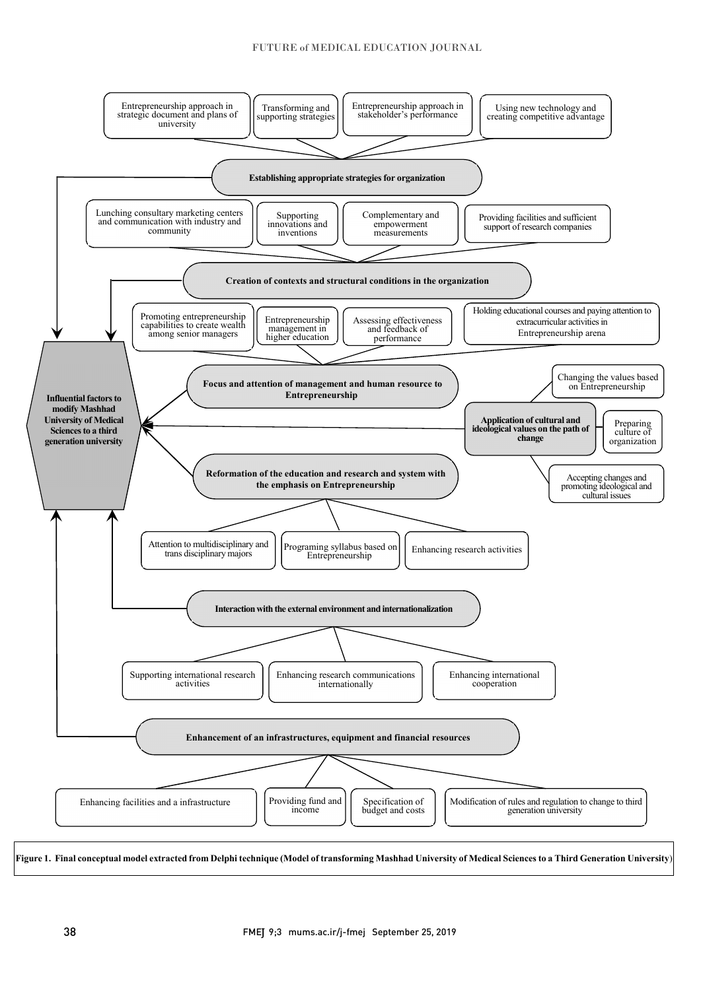

**Figure 1. Final conceptual model extracted from Delphi technique (Model of transforming Mashhad University of Medical Sciences to a Third Generation University**)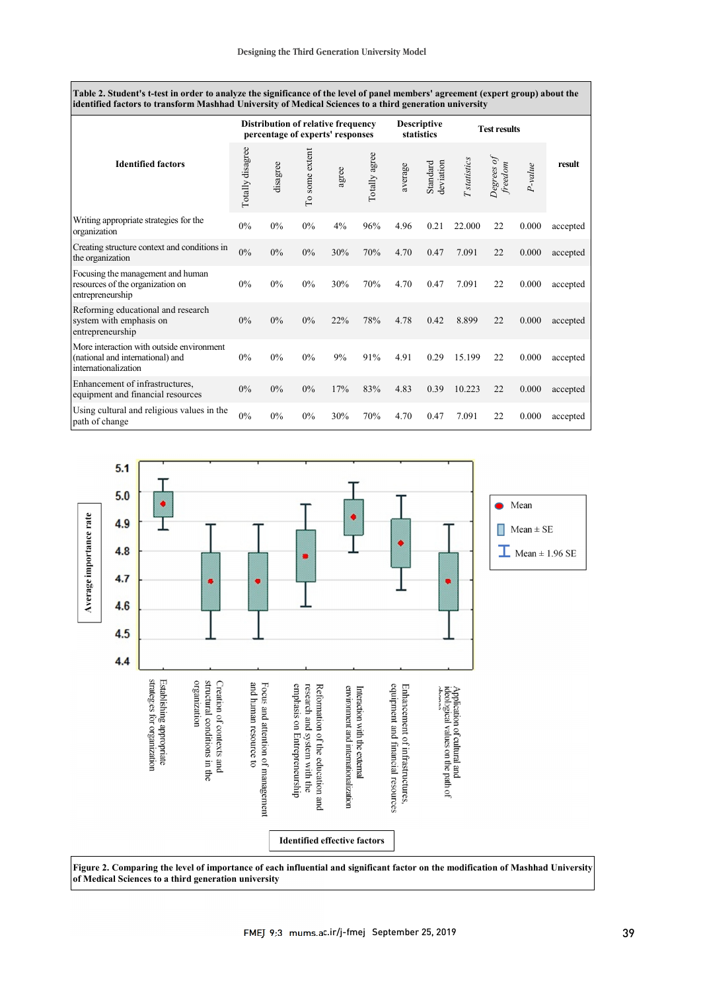**Table 2. Student's t-test in order to analyze the significance of the level of panel members' agreement (expert group) about the identified factors to transform Mashhad University of Medical Sciences to a third generation university**

| <b>Identified factors</b>                                                                             | <b>Distribution of relative frequency</b><br>percentage of experts' responses |          |                |       | <b>Descriptive</b><br>statistics |         | <b>Test results</b>   |                     |                       |           |          |
|-------------------------------------------------------------------------------------------------------|-------------------------------------------------------------------------------|----------|----------------|-------|----------------------------------|---------|-----------------------|---------------------|-----------------------|-----------|----------|
|                                                                                                       | Totally disagree                                                              | disagree | To some extent | agree | Totally agree                    | average | deviation<br>Standard | <b>T</b> statistics | Degrees of<br>freedom | $P-value$ | result   |
| Writing appropriate strategies for the<br>organization                                                | 0%                                                                            | 0%       | $0\%$          | 4%    | 96%                              | 4.96    | 0.21                  | 22.000              | 22                    | 0.000     | accepted |
| Creating structure context and conditions in<br>the organization                                      | 0%                                                                            | 0%       | 0%             | 30%   | 70%                              | 4.70    | 0.47                  | 7.091               | 22                    | 0.000     | accepted |
| Focusing the management and human<br>resources of the organization on<br>entrepreneurship             | $0\%$                                                                         | 0%       | 0%             | 30%   | 70%                              | 4.70    | 0.47                  | 7.091               | 22                    | 0.000     | accepted |
| Reforming educational and research<br>system with emphasis on<br>entrepreneurship                     | $0\%$                                                                         | 0%       | 0%             | 22%   | 78%                              | 4.78    | 0.42                  | 8.899               | 22                    | 0.000     | accepted |
| More interaction with outside environment<br>(national and international) and<br>internationalization | $0\%$                                                                         | $0\%$    | $0\%$          | 9%    | 91%                              | 4.91    | 0.29                  | 15.199              | 22                    | 0.000     | accepted |
| Enhancement of infrastructures,<br>equipment and financial resources                                  | $0\%$                                                                         | $0\%$    | $0\%$          | 17%   | 83%                              | 4.83    | 0.39                  | 10.223              | 22                    | 0.000     | accepted |
| Using cultural and religious values in the<br>path of change                                          | 0%                                                                            | 0%       | 0%             | 30%   | 70%                              | 4.70    | 0.47                  | 7.091               | 22                    | 0.000     | accepted |



**Figure 2. Comparing the level of importance of each influential and significant factor on the modification of Mashhad University of Medical Sciences to a third generation university**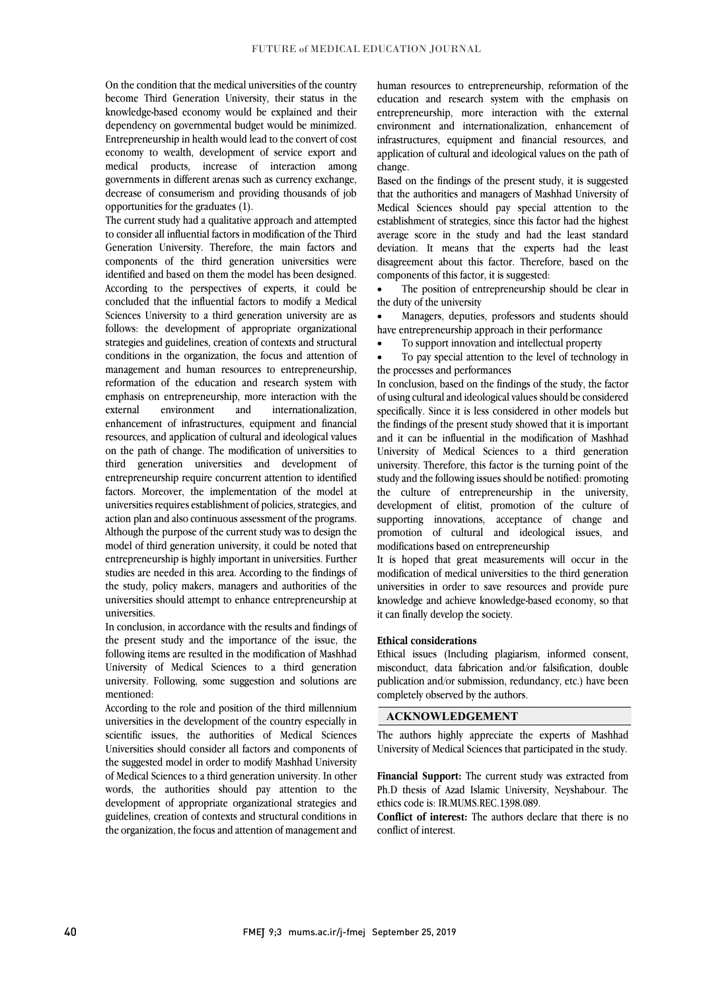On the condition that the medical universities of the country become Third Generation University, their status in the knowledge-based economy would be explained and their dependency on governmental budget would be minimized. Entrepreneurship in health would lead to the convert of cost economy to wealth, development of service export and medical products, increase of interaction among governments in different arenas such as currency exchange, decrease of consumerism and providing thousands of job opportunities for the graduates (1).

The current study had a qualitative approach and attempted to consider all influential factors in modification of the Third Generation University. Therefore, the main factors and components of the third generation universities were identified and based on them the model has been designed. According to the perspectives of experts, it could be concluded that the influential factors to modify a Medical Sciences University to a third generation university are as follows: the development of appropriate organizational strategies and guidelines, creation of contexts and structural conditions in the organization, the focus and attention of management and human resources to entrepreneurship, reformation of the education and research system with emphasis on entrepreneurship, more interaction with the external environment and internationalization. external environment and internationalization, enhancement of infrastructures, equipment and financial resources, and application of cultural and ideological values on the path of change. The modification of universities to third generation universities and development of entrepreneurship require concurrent attention to identified factors. Moreover, the implementation of the model at universities requires establishment of policies, strategies, and action plan and also continuous assessment of the programs. Although the purpose of the current study was to design the model of third generation university, it could be noted that entrepreneurship is highly important in universities. Further studies are needed in this area. According to the findings of the study, policy makers, managers and authorities of the universities should attempt to enhance entrepreneurship at universities.

In conclusion, in accordance with the results and findings of the present study and the importance of the issue, the following items are resulted in the modification of Mashhad University of Medical Sciences to a third generation university. Following, some suggestion and solutions are mentioned:

According to the role and position of the third millennium universities in the development of the country especially in scientific issues, the authorities of Medical Sciences Universities should consider all factors and components of the suggested model in order to modify Mashhad University of Medical Sciences to a third generation university. In other words, the authorities should pay attention to the development of appropriate organizational strategies and guidelines, creation of contexts and structural conditions in the organization, the focus and attention of management and human resources to entrepreneurship, reformation of the education and research system with the emphasis on entrepreneurship, more interaction with the external environment and internationalization, enhancement of infrastructures, equipment and financial resources, and application of cultural and ideological values on the path of change.

Based on the findings of the present study, it is suggested that the authorities and managers of Mashhad University of Medical Sciences should pay special attention to the establishment of strategies, since this factor had the highest average score in the study and had the least standard deviation. It means that the experts had the least disagreement about this factor. Therefore, based on the components of this factor, it is suggested:

 The position of entrepreneurship should be clear in the duty of the university

 Managers, deputies, professors and students should have entrepreneurship approach in their performance

To support innovation and intellectual property

 To pay special attention to the level of technology in the processes and performances

In conclusion, based on the findings of the study, the factor of using cultural and ideological values should be considered specifically. Since it is less considered in other models but the findings of the present study showed that it is important and it can be influential in the modification of Mashhad University of Medical Sciences to a third generation university. Therefore, this factor is the turning point of the study and the following issues should be notified: promoting the culture of entrepreneurship in the university, development of elitist, promotion of the culture of supporting innovations, acceptance of change and promotion of cultural and ideological issues, and modifications based on entrepreneurship

It is hoped that great measurements will occur in the modification of medical universities to the third generation universities in order to save resources and provide pure knowledge and achieve knowledge-based economy, so that it can finally develop the society.

#### **Ethical considerations**

Ethical issues (Including plagiarism, informed consent, misconduct, data fabrication and/or falsification, double publication and/or submission, redundancy, etc.) have been completely observed by the authors.

### **ACKNOWLEDGEMENT**

The authors highly appreciate the experts of Mashhad University of Medical Sciences that participated in the study.

**Financial Support:** The current study was extracted from Ph.D thesis of Azad Islamic University, Neyshabour. The ethics code is: IR.MUMS.REC.1398.089.

**Conflict of interest:** The authors declare that there is no conflict of interest.